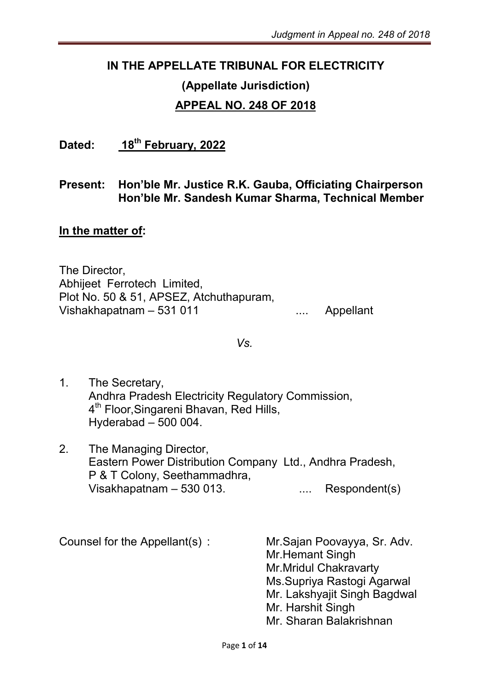#### IN THE APPELLATE TRIBUNAL FOR ELECTRICITY

# (Appellate Jurisdiction)

#### APPEAL NO. 248 OF 2018

Dated: 18<sup>th</sup> February, 2022

#### Present: Hon'ble Mr. Justice R.K. Gauba, Officiating Chairperson Hon'ble Mr. Sandesh Kumar Sharma, Technical Member

#### In the matter of:

The Director, Abhijeet Ferrotech Limited, Plot No. 50 & 51, APSEZ, Atchuthapuram, Vishakhapatnam – 531 011 ... Appellant

*Vs.*

- 1. The Secretary, Andhra Pradesh Electricity Regulatory Commission, 4<sup>th</sup> Floor, Singareni Bhavan, Red Hills, Hyderabad – 500 004.
- 2. The Managing Director, Eastern Power Distribution Company Ltd., Andhra Pradesh, P & T Colony, Seethammadhra, Visakhapatnam – 530 013. .... Respondent(s)

Counsel for the Appellant(s) : Mr.Sajan Poovayya, Sr. Adv. Mr.Hemant Singh Mr.Mridul Chakravarty Ms.Supriya Rastogi Agarwal Mr. Lakshyajit Singh Bagdwal Mr. Harshit Singh Mr. Sharan Balakrishnan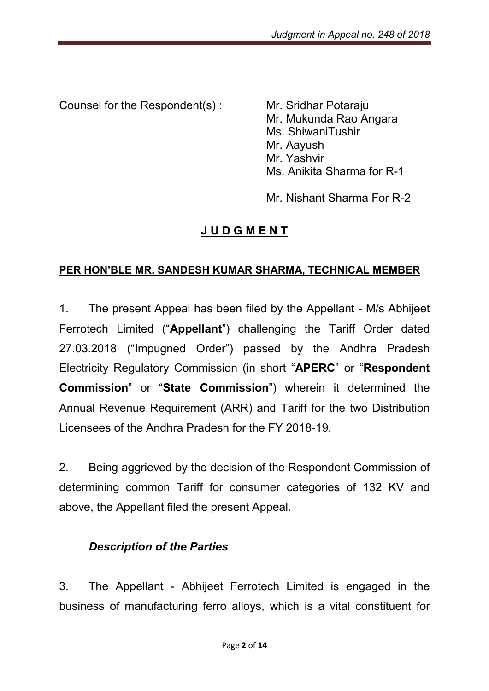Counsel for the Respondent(s) : Mr. Sridhar Potaraju

Mr. Mukunda Rao Angara Ms. ShiwaniTushir Mr. Aayush Mr. Yashvir Ms. Anikita Sharma for R-1

Mr. Nishant Sharma For R-2

## J U D G M E N T

#### PER HON'BLE MR. SANDESH KUMAR SHARMA, TECHNICAL MEMBER

1. The present Appeal has been filed by the Appellant - M/s Abhijeet Ferrotech Limited ("Appellant") challenging the Tariff Order dated 27.03.2018 ("Impugned Order") passed by the Andhra Pradesh Electricity Regulatory Commission (in short "APERC" or "Respondent Commission" or "State Commission") wherein it determined the Annual Revenue Requirement (ARR) and Tariff for the two Distribution Licensees of the Andhra Pradesh for the FY 2018-19.

2. Being aggrieved by the decision of the Respondent Commission of determining common Tariff for consumer categories of 132 KV and above, the Appellant filed the present Appeal.

#### *Description of the Parties*

3. The Appellant - Abhijeet Ferrotech Limited is engaged in the business of manufacturing ferro alloys, which is a vital constituent for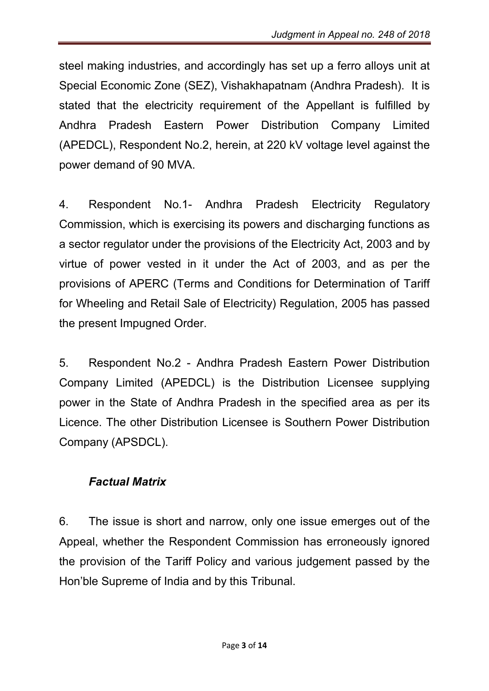steel making industries, and accordingly has set up a ferro alloys unit at Special Economic Zone (SEZ), Vishakhapatnam (Andhra Pradesh). It is stated that the electricity requirement of the Appellant is fulfilled by Andhra Pradesh Eastern Power Distribution Company Limited (APEDCL), Respondent No.2, herein, at 220 kV voltage level against the power demand of 90 MVA.

4. Respondent No.1- Andhra Pradesh Electricity Regulatory Commission, which is exercising its powers and discharging functions as a sector regulator under the provisions of the Electricity Act, 2003 and by virtue of power vested in it under the Act of 2003, and as per the provisions of APERC (Terms and Conditions for Determination of Tariff for Wheeling and Retail Sale of Electricity) Regulation, 2005 has passed the present Impugned Order.

5. Respondent No.2 - Andhra Pradesh Eastern Power Distribution Company Limited (APEDCL) is the Distribution Licensee supplying power in the State of Andhra Pradesh in the specified area as per its Licence. The other Distribution Licensee is Southern Power Distribution Company (APSDCL).

### *Factual Matrix*

6. The issue is short and narrow, only one issue emerges out of the Appeal, whether the Respondent Commission has erroneously ignored the provision of the Tariff Policy and various judgement passed by the Hon'ble Supreme of India and by this Tribunal.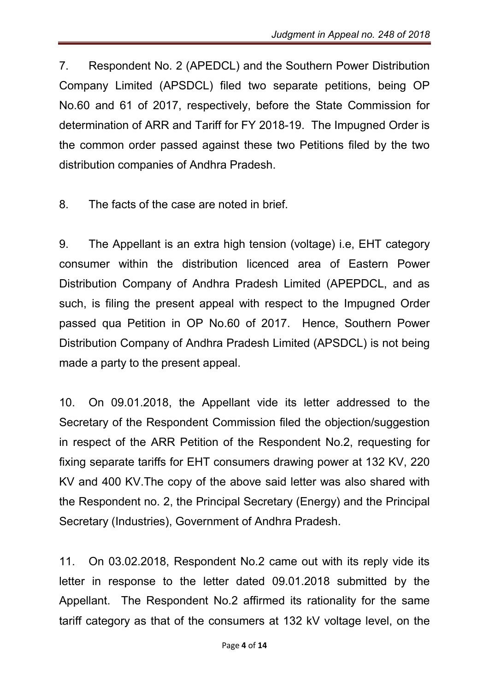7. Respondent No. 2 (APEDCL) and the Southern Power Distribution Company Limited (APSDCL) filed two separate petitions, being OP No.60 and 61 of 2017, respectively, before the State Commission for determination of ARR and Tariff for FY 2018-19. The Impugned Order is the common order passed against these two Petitions filed by the two distribution companies of Andhra Pradesh.

8. The facts of the case are noted in brief.

9. The Appellant is an extra high tension (voltage) i.e, EHT category consumer within the distribution licenced area of Eastern Power Distribution Company of Andhra Pradesh Limited (APEPDCL, and as such, is filing the present appeal with respect to the Impugned Order passed qua Petition in OP No.60 of 2017. Hence, Southern Power Distribution Company of Andhra Pradesh Limited (APSDCL) is not being made a party to the present appeal.

10. On 09.01.2018, the Appellant vide its letter addressed to the Secretary of the Respondent Commission filed the objection/suggestion in respect of the ARR Petition of the Respondent No.2, requesting for fixing separate tariffs for EHT consumers drawing power at 132 KV, 220 KV and 400 KV.The copy of the above said letter was also shared with the Respondent no. 2, the Principal Secretary (Energy) and the Principal Secretary (Industries), Government of Andhra Pradesh.

11. On 03.02.2018, Respondent No.2 came out with its reply vide its letter in response to the letter dated 09.01.2018 submitted by the Appellant. The Respondent No.2 affirmed its rationality for the same tariff category as that of the consumers at 132 kV voltage level, on the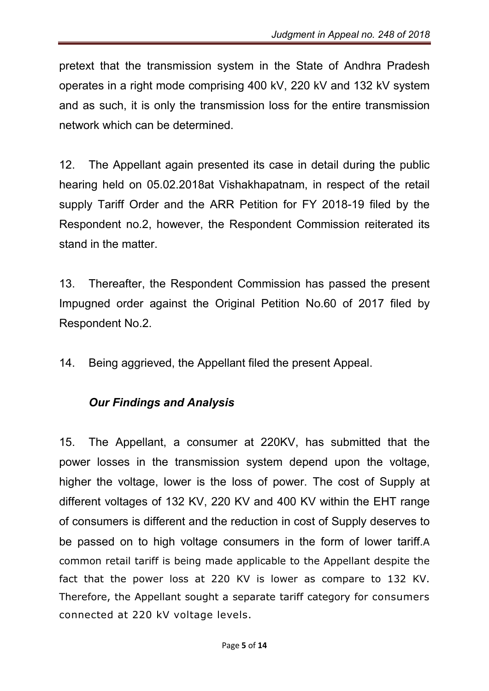pretext that the transmission system in the State of Andhra Pradesh operates in a right mode comprising 400 kV, 220 kV and 132 kV system and as such, it is only the transmission loss for the entire transmission network which can be determined.

12. The Appellant again presented its case in detail during the public hearing held on 05.02.2018at Vishakhapatnam, in respect of the retail supply Tariff Order and the ARR Petition for FY 2018-19 filed by the Respondent no.2, however, the Respondent Commission reiterated its stand in the matter.

13. Thereafter, the Respondent Commission has passed the present Impugned order against the Original Petition No.60 of 2017 filed by Respondent No.2.

14. Being aggrieved, the Appellant filed the present Appeal.

### *Our Findings and Analysis*

15. The Appellant, a consumer at 220KV, has submitted that the power losses in the transmission system depend upon the voltage, higher the voltage, lower is the loss of power. The cost of Supply at different voltages of 132 KV, 220 KV and 400 KV within the EHT range of consumers is different and the reduction in cost of Supply deserves to be passed on to high voltage consumers in the form of lower tariff.A common retail tariff is being made applicable to the Appellant despite the fact that the power loss at 220 KV is lower as compare to 132 KV. Therefore, the Appellant sought a separate tariff category for consumers connected at 220 kV voltage levels.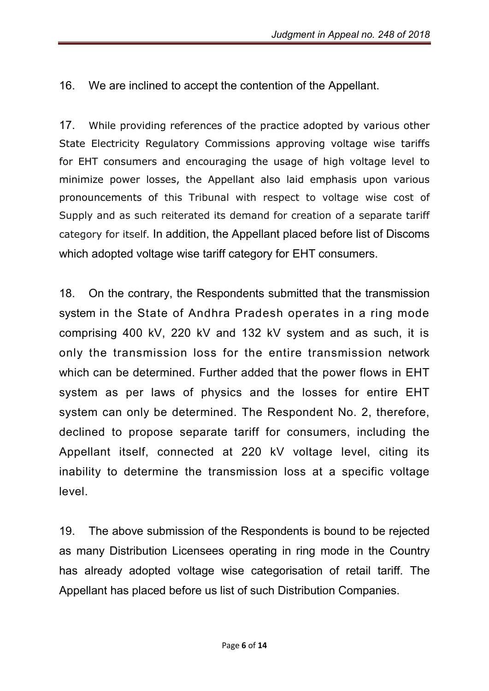16. We are inclined to accept the contention of the Appellant.

17. While providing references of the practice adopted by various other State Electricity Regulatory Commissions approving voltage wise tariffs for EHT consumers and encouraging the usage of high voltage level to minimize power losses, the Appellant also laid emphasis upon various pronouncements of this Tribunal with respect to voltage wise cost of Supply and as such reiterated its demand for creation of a separate tariff category for itself. In addition, the Appellant placed before list of Discoms which adopted voltage wise tariff category for EHT consumers.

18. On the contrary, the Respondents submitted that the transmission system in the State of Andhra Pradesh operates in a ring mode comprising 400 kV, 220 kV and 132 kV system and as such, it is only the transmission loss for the entire transmission network which can be determined. Further added that the power flows in EHT system as per laws of physics and the losses for entire EHT system can only be determined. The Respondent No. 2, therefore, declined to propose separate tariff for consumers, including the Appellant itself, connected at 220 kV voltage level, citing its inability to determine the transmission loss at a specific voltage level.

19. The above submission of the Respondents is bound to be rejected as many Distribution Licensees operating in ring mode in the Country has already adopted voltage wise categorisation of retail tariff. The Appellant has placed before us list of such Distribution Companies.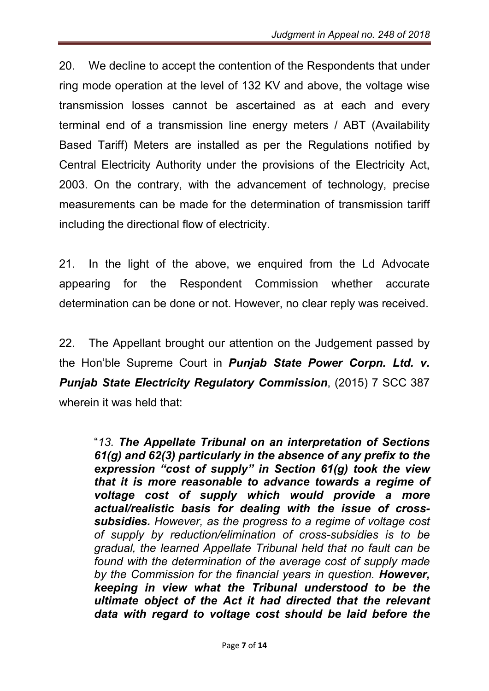20. We decline to accept the contention of the Respondents that under ring mode operation at the level of 132 KV and above, the voltage wise transmission losses cannot be ascertained as at each and every terminal end of a transmission line energy meters / ABT (Availability Based Tariff) Meters are installed as per the Regulations notified by Central Electricity Authority under the provisions of the Electricity Act, 2003. On the contrary, with the advancement of technology, precise measurements can be made for the determination of transmission tariff including the directional flow of electricity.

21. In the light of the above, we enquired from the Ld Advocate appearing for the Respondent Commission whether accurate determination can be done or not. However, no clear reply was received.

22. The Appellant brought our attention on the Judgement passed by the Hon'ble Supreme Court in *Punjab State Power Corpn. Ltd. v. Punjab State Electricity Regulatory Commission*, (2015) 7 SCC 387 wherein it was held that:

"*13. The Appellate Tribunal on an interpretation of Sections 61(g) and 62(3) particularly in the absence of any prefix to the expression "cost of supply" in Section 61(g) took the view that it is more reasonable to advance towards a regime of voltage cost of supply which would provide a more actual/realistic basis for dealing with the issue of crosssubsidies. However, as the progress to a regime of voltage cost of supply by reduction/elimination of cross-subsidies is to be gradual, the learned Appellate Tribunal held that no fault can be found with the determination of the average cost of supply made by the Commission for the financial years in question. However, keeping in view what the Tribunal understood to be the ultimate object of the Act it had directed that the relevant data with regard to voltage cost should be laid before the*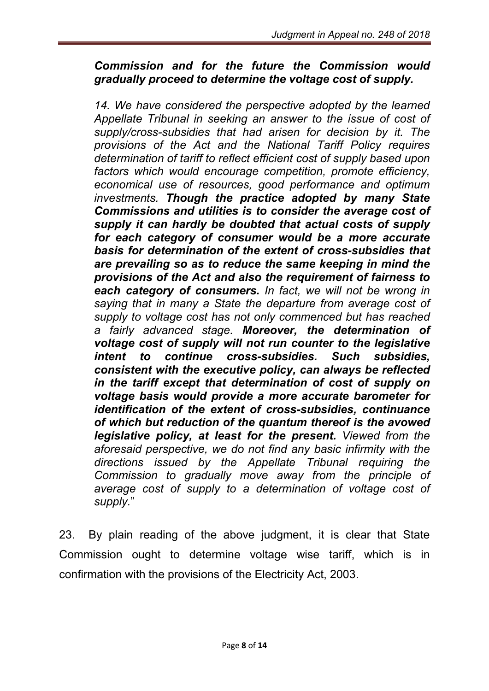#### *Commission and for the future the Commission would gradually proceed to determine the voltage cost of supply.*

14. We have considered the perspective adopted by the learned *Appellate Tribunal in seeking an answer to the issue of cost of supply/cross-subsidies that had arisen for decision by it. The provisions of the Act and the National Tariff Policy requires determination of tariff to reflect efficient cost of supply based upon factors which would encourage competition, promote efficiency, economical use of resources, good performance and optimum investments. Though the practice adopted by many State Commissions and utilities is to consider the average cost of supply it can hardly be doubted that actual costs of supply for each category of consumer would be a more accurate basis for determination of the extent of cross-subsidies that are prevailing so as to reduce the same keeping in mind the provisions of the Act and also the requirement of fairness to each category of consumers. In fact, we will not be wrong in saying that in many a State the departure from average cost of supply to voltage cost has not only commenced but has reached a fairly advanced stage. Moreover, the determination of voltage cost of supply will not run counter to the legislative intent to continue cross-subsidies. Such subsidies, consistent with the executive policy, can always be reflected in the tariff except that determination of cost of supply on voltage basis would provide a more accurate barometer for identification of the extent of cross-subsidies, continuance of which but reduction of the quantum thereof is the avowed legislative policy, at least for the present. Viewed from the aforesaid perspective, we do not find any basic infirmity with the directions issued by the Appellate Tribunal requiring the Commission to gradually move away from the principle of average cost of supply to a determination of voltage cost of supply.*"

23. By plain reading of the above judgment, it is clear that State Commission ought to determine voltage wise tariff, which is in confirmation with the provisions of the Electricity Act, 2003.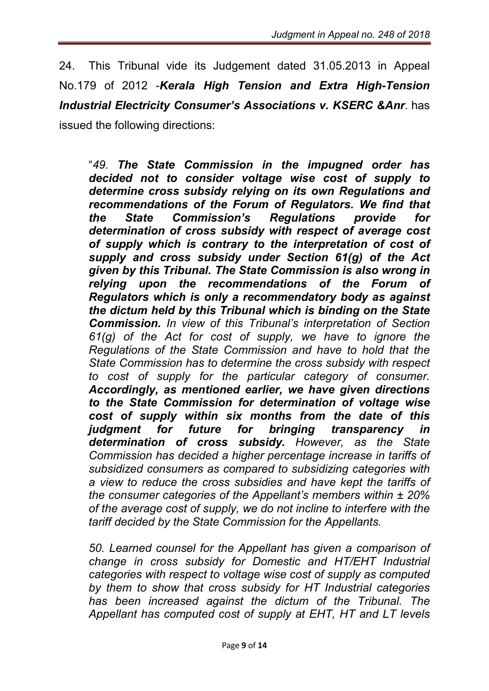24. This Tribunal vide its Judgement dated 31.05.2013 in Appeal No.179 of 2012 -*Kerala High Tension and Extra High-Tension Industrial Electricity Consumer's Associations v. KSERC &Anr*. has issued the following directions:

"*49. The State Commission in the impugned order has decided not to consider voltage wise cost of supply to determine cross subsidy relying on its own Regulations and recommendations of the Forum of Regulators. We find that the State Commission's Regulations provide for determination of cross subsidy with respect of average cost of supply which is contrary to the interpretation of cost of supply and cross subsidy under Section 61(g) of the Act given by this Tribunal. The State Commission is also wrong in relying upon the recommendations of the Forum of Regulators which is only a recommendatory body as against the dictum held by this Tribunal which is binding on the State Commission. In view of this Tribunal's interpretation of Section 61(g) of the Act for cost of supply, we have to ignore the Regulations of the State Commission and have to hold that the State Commission has to determine the cross subsidy with respect to cost of supply for the particular category of consumer. Accordingly, as mentioned earlier, we have given directions to the State Commission for determination of voltage wise cost of supply within six months from the date of this judgment for future for bringing transparency in determination of cross subsidy. However, as the State Commission has decided a higher percentage increase in tariffs of subsidized consumers as compared to subsidizing categories with a view to reduce the cross subsidies and have kept the tariffs of the consumer categories of the Appellant's members within ± 20% of the average cost of supply, we do not incline to interfere with the tariff decided by the State Commission for the Appellants.*

*50. Learned counsel for the Appellant has given a comparison of change in cross subsidy for Domestic and HT/EHT Industrial categories with respect to voltage wise cost of supply as computed by them to show that cross subsidy for HT Industrial categories has been increased against the dictum of the Tribunal. The Appellant has computed cost of supply at EHT, HT and LT levels*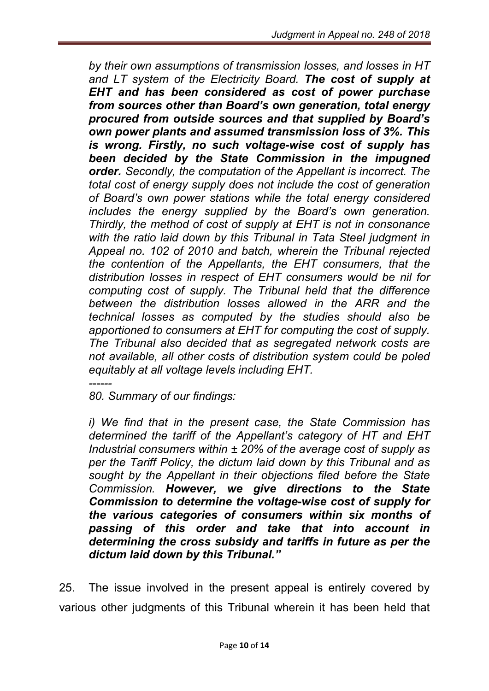*by their own assumptions of transmission losses, and losses in HT and LT system of the Electricity Board. The cost of supply at EHT and has been considered as cost of power purchase from sources other than Board's own generation, total energy procured from outside sources and that supplied by Board's own power plants and assumed transmission loss of 3%. This is wrong. Firstly, no such voltage-wise cost of supply has been decided by the State Commission in the impugned order. Secondly, the computation of the Appellant is incorrect. The total cost of energy supply does not include the cost of generation of Board's own power stations while the total energy considered includes the energy supplied by the Board's own generation. Thirdly, the method of cost of supply at EHT is not in consonance with the ratio laid down by this Tribunal in Tata Steel judgment in Appeal no. 102 of 2010 and batch, wherein the Tribunal rejected the contention of the Appellants, the EHT consumers, that the distribution losses in respect of EHT consumers would be nil for computing cost of supply. The Tribunal held that the difference between the distribution losses allowed in the ARR and the technical losses as computed by the studies should also be apportioned to consumers at EHT for computing the cost of supply. The Tribunal also decided that as segregated network costs are not available, all other costs of distribution system could be poled equitably at all voltage levels including EHT.*

*------ 80. Summary of our findings:* 

*i) We find that in the present case, the State Commission has determined the tariff of the Appellant's category of HT and EHT Industrial consumers within ± 20% of the average cost of supply as per the Tariff Policy, the dictum laid down by this Tribunal and as sought by the Appellant in their objections filed before the State Commission. However, we give directions to the State Commission to determine the voltage-wise cost of supply for the various categories of consumers within six months of passing of this order and take that into account in determining the cross subsidy and tariffs in future as per the dictum laid down by this Tribunal."*

25. The issue involved in the present appeal is entirely covered by various other judgments of this Tribunal wherein it has been held that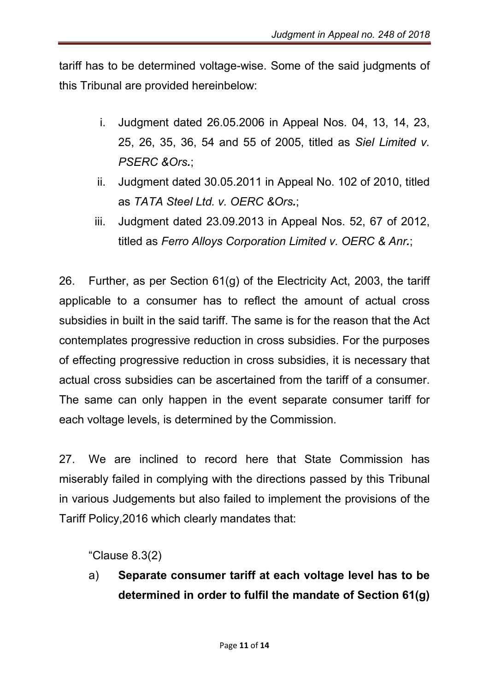tariff has to be determined voltage-wise. Some of the said judgments of this Tribunal are provided hereinbelow:

- i. Judgment dated 26.05.2006 in Appeal Nos. 04, 13, 14, 23, 25, 26, 35, 36, 54 and 55 of 2005, titled as *Siel Limited v. PSERC &Ors.*;
- ii. Judgment dated 30.05.2011 in Appeal No. 102 of 2010, titled as *TATA Steel Ltd. v. OERC &Ors.*;
- iii. Judgment dated 23.09.2013 in Appeal Nos. 52, 67 of 2012, titled as *Ferro Alloys Corporation Limited v. OERC & Anr.*;

26. Further, as per Section 61(g) of the Electricity Act, 2003, the tariff applicable to a consumer has to reflect the amount of actual cross subsidies in built in the said tariff. The same is for the reason that the Act contemplates progressive reduction in cross subsidies. For the purposes of effecting progressive reduction in cross subsidies, it is necessary that actual cross subsidies can be ascertained from the tariff of a consumer. The same can only happen in the event separate consumer tariff for each voltage levels, is determined by the Commission.

27. We are inclined to record here that State Commission has miserably failed in complying with the directions passed by this Tribunal in various Judgements but also failed to implement the provisions of the Tariff Policy,2016 which clearly mandates that:

"Clause 8.3(2)

a) Separate consumer tariff at each voltage level has to be determined in order to fulfil the mandate of Section 61(g)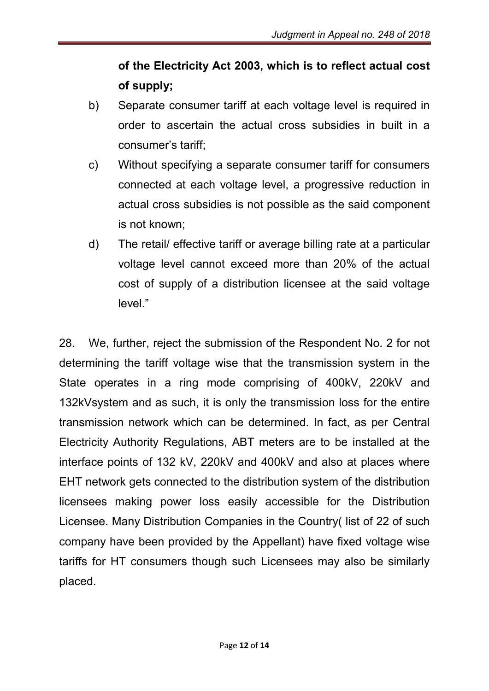# of the Electricity Act 2003, which is to reflect actual cost of supply;

- b) Separate consumer tariff at each voltage level is required in order to ascertain the actual cross subsidies in built in a consumer's tariff;
- c) Without specifying a separate consumer tariff for consumers connected at each voltage level, a progressive reduction in actual cross subsidies is not possible as the said component is not known;
- d) The retail/ effective tariff or average billing rate at a particular voltage level cannot exceed more than 20% of the actual cost of supply of a distribution licensee at the said voltage level."

28. We, further, reject the submission of the Respondent No. 2 for not determining the tariff voltage wise that the transmission system in the State operates in a ring mode comprising of 400kV, 220kV and 132kVsystem and as such, it is only the transmission loss for the entire transmission network which can be determined. In fact, as per Central Electricity Authority Regulations, ABT meters are to be installed at the interface points of 132 kV, 220kV and 400kV and also at places where EHT network gets connected to the distribution system of the distribution licensees making power loss easily accessible for the Distribution Licensee. Many Distribution Companies in the Country( list of 22 of such company have been provided by the Appellant) have fixed voltage wise tariffs for HT consumers though such Licensees may also be similarly placed.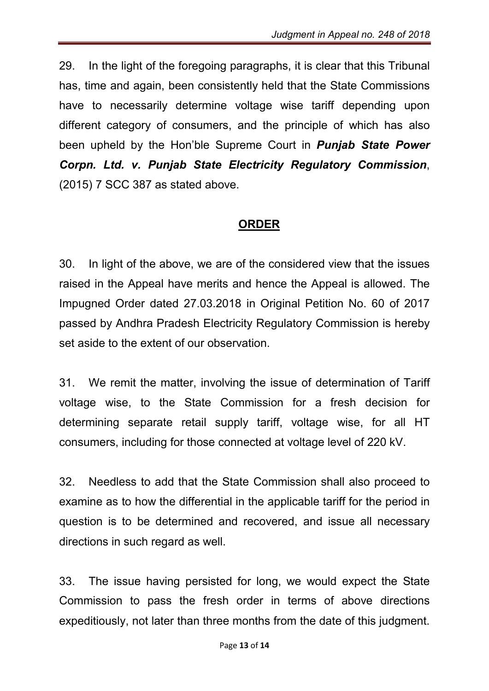29. In the light of the foregoing paragraphs, it is clear that this Tribunal has, time and again, been consistently held that the State Commissions have to necessarily determine voltage wise tariff depending upon different category of consumers, and the principle of which has also been upheld by the Hon'ble Supreme Court in *Punjab State Power Corpn. Ltd. v. Punjab State Electricity Regulatory Commission*, (2015) 7 SCC 387 as stated above.

#### ORDER

30. In light of the above, we are of the considered view that the issues raised in the Appeal have merits and hence the Appeal is allowed. The Impugned Order dated 27.03.2018 in Original Petition No. 60 of 2017 passed by Andhra Pradesh Electricity Regulatory Commission is hereby set aside to the extent of our observation.

31. We remit the matter, involving the issue of determination of Tariff voltage wise, to the State Commission for a fresh decision for determining separate retail supply tariff, voltage wise, for all HT consumers, including for those connected at voltage level of 220 kV.

32. Needless to add that the State Commission shall also proceed to examine as to how the differential in the applicable tariff for the period in question is to be determined and recovered, and issue all necessary directions in such regard as well.

33. The issue having persisted for long, we would expect the State Commission to pass the fresh order in terms of above directions expeditiously, not later than three months from the date of this judgment.